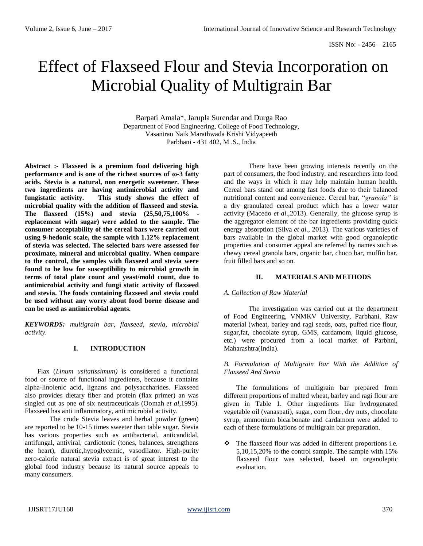# Effect of Flaxseed Flour and Stevia Incorporation on Microbial Quality of Multigrain Bar

Barpati Amala\*, Jarupla Surendar and Durga Rao Department of Food Engineering, College of Food Technology, Vasantrao Naik Marathwada Krishi Vidyapeeth Parbhani - 431 402, M .S., India

**Abstract :- Flaxseed is a premium food delivering high performance and is one of the richest sources of ω-3 fatty acids. Stevia is a natural, non energetic sweetener. These two ingredients are having antimicrobial activity and fungistatic activity. This study shows the effect of microbial quality with the addition of flaxseed and stevia. The flaxseed (15%) and stevia (25,50,75,100% replacement with sugar) were added to the sample. The consumer acceptability of the cereal bars were carried out using 9-hedonic scale, the sample with 1.12% replacement of stevia was selected. The selected bars were assessed for proximate, mineral and microbial quality. When compare to the control, the samples with flaxseed and stevia were found to be low for susceptibility to microbial growth in terms of total plate count and yeast/mold count, due to antimicrobial activity and fungi static activity of flaxseed and stevia. The foods containing flaxseed and stevia could be used without any worry about food borne disease and can be used as antimicrobial agents.** 

*KEYWORDS: multigrain bar, flaxseed, stevia, microbial activity.*

## **I. INTRODUCTION**

Flax (*Linum usitatissimum)* is considered a functional food or source of functional ingredients, because it contains alpha-linolenic acid, lignans and polysaccharides*.* Flaxseed also provides dietary fiber and protein (flax primer) an was singled out as one of six neutraceuticals (Oomah *et al*,1995). Flaxseed has anti inflammatory, anti microbial activity.

The crude Stevia leaves and herbal powder (green) are reported to be 10-15 times sweeter than table sugar. Stevia has various properties such as antibacterial, anticandidal, antifungal, antiviral, cardiotonic (tones, balances, strengthens the heart), diuretic,hypoglycemic, vasodilator. High-purity zero-calorie natural stevia extract is of great interest to the global food industry because its natural source appeals to many consumers.

There have been growing interests recently on the part of consumers, the food industry, and researchers into food and the ways in which it may help maintain human health. Cereal bars stand out among fast foods due to their balanced nutritional content and convenience. Cereal bar, "*granola"* is a dry granulated cereal product which has a lower water activity (Macedo *et al*.,2013). Generally, the glucose syrup is the aggregator element of the bar ingredients providing quick energy absorption (Silva *et al*., 2013). The various varieties of bars available in the global market with good organoleptic properties and consumer appeal are referred by names such as chewy cereal granola bars, organic bar, choco bar, muffin bar, fruit filled bars and so on.

## **II. MATERIALS AND METHODS**

#### *A. Collection of Raw Material*

The investigation was carried out at the department of Food Engineering, VNMKV University, Parbhani. Raw material (wheat, barley and ragi seeds, oats, puffed rice flour, sugar,fat, chocolate syrup, GMS, cardamom, liquid glucose, etc.) were procured from a local market of Parbhni, Maharashtra(India).

#### *B. Formulation of Multigrain Bar With the Addition of Flaxseed And Stevia*

The formulations of multigrain bar prepared from different proportions of malted wheat, barley and ragi flour are given in Table 1. Other ingredients like hydrogenated vegetable oil (vanaspati), sugar, corn flour, dry nuts, chocolate syrup, ammonium bicarbonate and cardamom were added to each of these formulations of multigrain bar preparation.

\* The flaxseed flour was added in different proportions i.e. 5,10,15,20% to the control sample. The sample with 15% flaxseed flour was selected, based on organoleptic evaluation.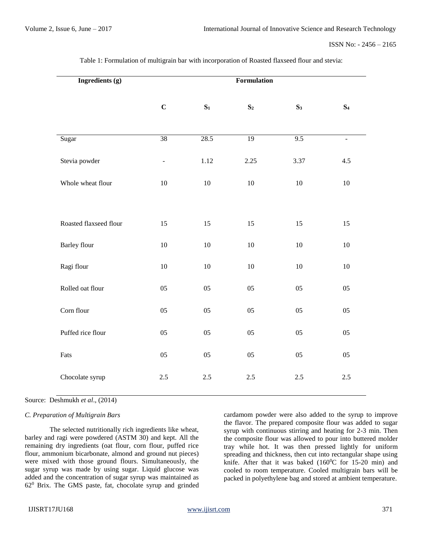| Ingredients (g)        | Formulation     |                |                 |                |                |
|------------------------|-----------------|----------------|-----------------|----------------|----------------|
|                        | $\mathbf C$     | $\mathbf{S}_1$ | S <sub>2</sub>  | S <sub>3</sub> | S <sub>4</sub> |
| Sugar                  | $\overline{38}$ | 28.5           | $\overline{19}$ | 9.5            | $\equiv$       |
| Stevia powder          | $\blacksquare$  | 1.12           | 2.25            | 3.37           | 4.5            |
| Whole wheat flour      | $10\,$          | $10\,$         | $10\,$          | $10\,$         | 10             |
|                        |                 |                |                 |                |                |
| Roasted flaxseed flour | 15              | 15             | 15              | 15             | 15             |
| <b>Barley flour</b>    | $10\,$          | 10             | $10\,$          | $10\,$         | $10\,$         |
| Ragi flour             | $10\,$          | 10             | $10\,$          | $10\,$         | $10\,$         |
| Rolled oat flour       | $05\,$          | $05\,$         | $05\,$          | 05             | $05\,$         |
| Corn flour             | 05              | 05             | 05              | 05             | 05             |
| Puffed rice flour      | 05              | 05             | 05              | 05             | 05             |
| Fats                   | 05              | 05             | 05              | 05             | 05             |
| Chocolate syrup        | 2.5             | $2.5\,$        | 2.5             | $2.5\,$        | 2.5            |

Table 1: Formulation of multigrain bar with incorporation of Roasted flaxseed flour and stevia:

## Source: Deshmukh *et al.*, (2014)

#### *C. Preparation of Multigrain Bars*

The selected nutritionally rich ingredients like wheat, barley and ragi were powdered (ASTM 30) and kept. All the remaining dry ingredients (oat flour, corn flour, puffed rice flour, ammonium bicarbonate, almond and ground nut pieces) were mixed with those ground flours. Simultaneously, the sugar syrup was made by using sugar. Liquid glucose was added and the concentration of sugar syrup was maintained as 62<sup>0</sup> Brix. The GMS paste, fat, chocolate syrup and grinded cardamom powder were also added to the syrup to improve the flavor. The prepared composite flour was added to sugar syrup with continuous stirring and heating for 2-3 min. Then the composite flour was allowed to pour into buttered molder tray while hot. It was then pressed lightly for uniform spreading and thickness, then cut into rectangular shape using knife. After that it was baked  $(160^{\circ}C)$  for 15-20 min) and cooled to room temperature. Cooled multigrain bars will be packed in polyethylene bag and stored at ambient temperature.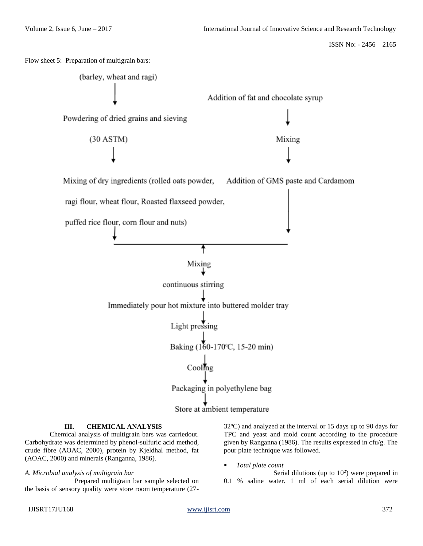

## **III. CHEMICAL ANALYSIS**

Chemical analysis of multigrain bars was carriedout. Carbohydrate was determined by phenol-sulfuric acid method, crude fibre (AOAC, 2000), protein by Kjeldhal method, fat (AOAC, 2000) and minerals (Ranganna, 1986).

# *A. Microbial analysis of multigrain bar*

Prepared multigrain bar sample selected on the basis of sensory quality were store room temperature (27-

 $32^{\circ}$ C) and analyzed at the interval or 15 days up to 90 days for TPC and yeast and mold count according to the procedure given by Ranganna (1986). The results expressed in cfu/g. The pour plate technique was followed.

*Total plate count*

Serial dilutions (up to  $10<sup>2</sup>$ ) were prepared in 0.1 % saline water. 1 ml of each serial dilution were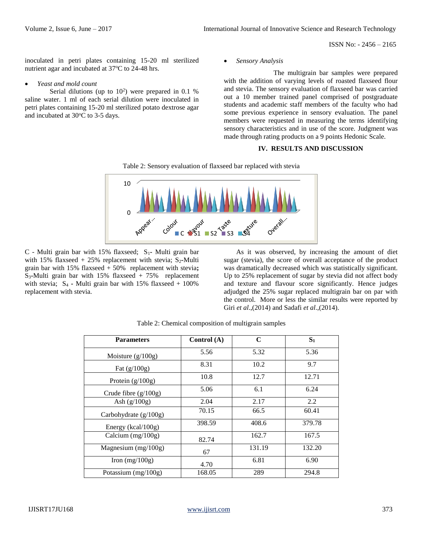ISSN No: - 2456 – 2165

inoculated in petri plates containing 15-20 ml sterilized nutrient agar and incubated at 37°C to 24-48 hrs.

#### *Yeast and mold count*

Serial dilutions (up to  $10<sup>2</sup>$ ) were prepared in 0.1 % saline water. 1 ml of each serial dilution were inoculated in petri plates containing 15-20 ml sterilized potato dextrose agar and incubated at  $30^{\circ}$ C to 3-5 days.

*Sensory Analysis*

The multigrain bar samples were prepared with the addition of varying levels of roasted flaxseed flour and stevia. The sensory evaluation of flaxseed bar was carried out a 10 member trained panel comprised of postgraduate students and academic staff members of the faculty who had some previous experience in sensory evaluation. The panel members were requested in measuring the terms identifying sensory characteristics and in use of the score. Judgment was made through rating products on a 9 points Hedonic Scale.

### **IV. RESULTS AND DISCUSSION**





C - Multi grain bar with 15% flaxseed; S<sub>1</sub>- Multi grain bar with 15% flaxseed  $+ 25%$  replacement with stevia; S<sub>2</sub>-Multi grain bar with 15% flaxseed + 50% replacement with stevia**;**  S3**-**Multi grain bar with 15% flaxseed + 75% replacement with stevia;  $S_4$  **-** Multi grain bar with 15% flaxseed + 100% replacement with stevia.

As it was observed, by increasing the amount of diet sugar (stevia), the score of overall acceptance of the product was dramatically decreased which was statistically significant. Up to 25% replacement of sugar by stevia did not affect body and texture and flavour score significantly. Hence judges adjudged the 25% sugar replaced multigrain bar on par with the control. More or less the similar results were reported by Giri *et al*.,(2014) and Sadafi *et al*.,(2014).

| <b>Parameters</b>      | Control (A) | $\mathbf C$ | S <sub>1</sub> |
|------------------------|-------------|-------------|----------------|
| Moisture $(g/100g)$    | 5.56        | 5.32        | 5.36           |
| Fat $(g/100g)$         | 8.31        | 10.2        | 9.7            |
| Protein $(g/100g)$     | 10.8        | 12.7        | 12.71          |
| Crude fibre $(g/100g)$ | 5.06        | 6.1         | 6.24           |
| Ash $(g/100g)$         | 2.04        | 2.17        | 2.2            |
| Carbohydrate (g/100g)  | 70.15       | 66.5        | 60.41          |
| Energy (kcal/100g)     | 398.59      | 408.6       | 379.78         |
| Calcium $(mg/100g)$    | 82.74       | 162.7       | 167.5          |
| Magnesium $(mg/100g)$  | 67          | 131.19      | 132.20         |
| Iron $(mg/100g)$       | 4.70        | 6.81        | 6.90           |
| Potassium (mg/100g)    | 168.05      | 289         | 294.8          |

|  | Table 2: Chemical composition of multigrain samples |  |
|--|-----------------------------------------------------|--|
|  |                                                     |  |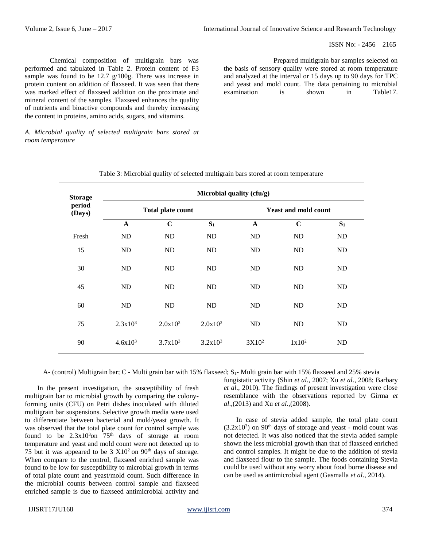ISSN No: - 2456 – 2165

Chemical composition of multigrain bars was performed and tabulated in Table 2. Protein content of F3 sample was found to be 12.7 g/100g. There was increase in protein content on addition of flaxseed. It was seen that there was marked effect of flaxseed addition on the proximate and mineral content of the samples. Flaxseed enhances the quality of nutrients and bioactive compounds and thereby increasing the content in proteins, amino acids, sugars, and vitamins.

Prepared multigrain bar samples selected on the basis of sensory quality were stored at room temperature and analyzed at the interval or 15 days up to 90 days for TPC and yeast and mold count. The data pertaining to microbial examination is shown in Table17.

*A. Microbial quality of selected multigrain bars stored at room temperature*

| <b>Storage</b><br>period<br>(Days) | Microbial quality (cfu/g) |                          |            |              |                             |       |  |
|------------------------------------|---------------------------|--------------------------|------------|--------------|-----------------------------|-------|--|
|                                    |                           | <b>Total plate count</b> |            |              | <b>Yeast and mold count</b> |       |  |
|                                    | $\mathbf{A}$              | $\mathbf C$              | $S_1$      | $\mathbf{A}$ | $\mathbf C$                 | $S_1$ |  |
| Fresh                              | ND                        | ND                       | ND         | ND           | ND                          | ND    |  |
| 15                                 | ND                        | ND                       | ND         | ND           | ND                          | ND    |  |
| 30                                 | ND                        | ND                       | ND         | ND           | ND                          | ND    |  |
| 45                                 | ND                        | ND                       | ND         | ND           | ND                          | ND    |  |
| 60                                 | ND                        | ND                       | ND         | ND           | ND                          | ND    |  |
| 75                                 | $2.3x10^3$                | $2.0x10^3$               | $2.0x10^3$ | ND           | ND                          | ND    |  |
| 90                                 | $4.6x10^{3}$              | $3.7x10^3$               | $3.2x10^3$ | $3X10^2$     | $1x10^2$                    | ND    |  |

A- (control) Multigrain bar; C - Multi grain bar with 15% flaxseed; S<sub>1</sub>- Multi grain bar with 15% flaxseed and 25% stevia

In the present investigation, the susceptibility of fresh multigrain bar to microbial growth by comparing the colonyforming units (CFU) on Petri dishes inoculated with diluted multigrain bar suspensions. Selective growth media were used to differentiate between bacterial and mold/yeast growth. It was observed that the total plate count for control sample was found to be  $2.3x10<sup>3</sup>$ on  $75<sup>th</sup>$  days of storage at room temperature and yeast and mold count were not detected up to 75 but it was appeared to be  $3 \text{ X}10^2$  on  $90^{\text{th}}$  days of storage. When compare to the control, flaxseed enriched sample was found to be low for susceptibility to microbial growth in terms of total plate count and yeast/mold count. Such difference in the microbial counts between control sample and flaxseed enriched sample is due to flaxseed antimicrobial activity and

fungistatic activity (Shin *et al.,* 2007; Xu *et al.,* 2008; Barbary *et al*., 2010). The findings of present investigation were close resemblance with the observations reported by Girma *et al*.,(2013) and Xu *et al*.,(2008).

In case of stevia added sample, the total plate count  $(3.2x10<sup>3</sup>)$  on 90<sup>th</sup> days of storage and yeast - mold count was not detected. It was also noticed that the stevia added sample shown the less microbial growth than that of flaxseed enriched and control samples. It might be due to the addition of stevia and flaxseed flour to the sample. The foods containing Stevia could be used without any worry about food borne disease and can be used as antimicrobial agent (Gasmalla *et al*., 2014).